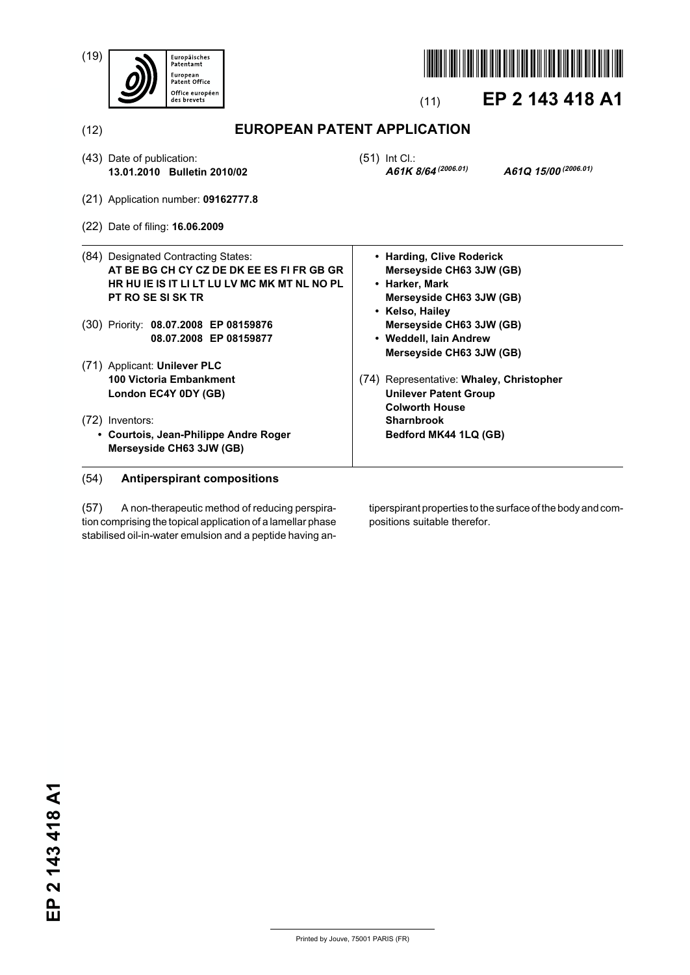(19)





# (11) **EP 2 143 418 A1**

(12) **EUROPEAN PATENT APPLICATION**

| (43) Date of publication:<br>13.01.2010 Bulletin 2010/02                                                                                                     | (51) Int Cl.:<br>A61K 8/64 (2006.01)                                                                                   | A61Q 15/00 (2006.01) |
|--------------------------------------------------------------------------------------------------------------------------------------------------------------|------------------------------------------------------------------------------------------------------------------------|----------------------|
| (21) Application number: 09162777.8                                                                                                                          |                                                                                                                        |                      |
| (22) Date of filing: <b>16.06.2009</b>                                                                                                                       |                                                                                                                        |                      |
| (84) Designated Contracting States:<br>AT BE BG CH CY CZ DE DK EE ES FI FR GB GR<br>HR HU IE IS IT LI LT LU LV MC MK MT NL NO PL<br><b>PT RO SE SI SK TR</b> | • Harding, Clive Roderick<br>Merseyside CH63 3JW (GB)<br>• Harker, Mark<br>Merseyside CH63 3JW (GB)<br>• Kelso, Hailey |                      |
| (30) Priority: 08.07.2008 EP 08159876<br>08.07.2008 EP 08159877                                                                                              | Merseyside CH63 3JW (GB)<br>• Weddell, Iain Andrew<br>Merseyside CH63 3JW (GB)                                         |                      |
| (71) Applicant: Unilever PLC<br>100 Victoria Embankment<br>London EC4Y 0DY (GB)                                                                              | (74) Representative: Whaley, Christopher<br><b>Unilever Patent Group</b><br><b>Colworth House</b>                      |                      |
| (72) Inventors:<br>• Courtois, Jean-Philippe Andre Roger<br>Merseyside CH63 3JW (GB)                                                                         | <b>Sharnbrook</b><br>Bedford MK44 1LQ (GB)                                                                             |                      |

(54) **Antiperspirant compositions**

(57) A non-therapeutic method of reducing perspiration comprising the topical application of a lamellar phase stabilised oil-in-water emulsion and a peptide having antiperspirant properties to the surface of the body and compositions suitable therefor.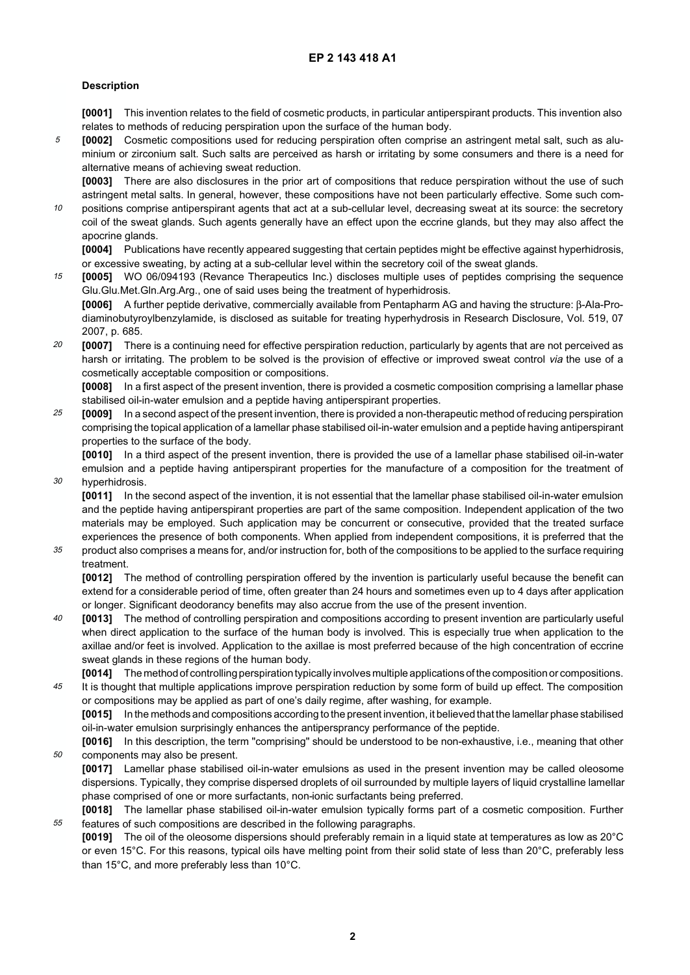## **Description**

30

45

50

**[0001]** This invention relates to the field of cosmetic products, in particular antiperspirant products. This invention also relates to methods of reducing perspiration upon the surface of the human body.

5 **[0002]** Cosmetic compositions used for reducing perspiration often comprise an astringent metal salt, such as aluminium or zirconium salt. Such salts are perceived as harsh or irritating by some consumers and there is a need for alternative means of achieving sweat reduction.

**[0003]** There are also disclosures in the prior art of compositions that reduce perspiration without the use of such astringent metal salts. In general, however, these compositions have not been particularly effective. Some such com-

10 positions comprise antiperspirant agents that act at a sub-cellular level, decreasing sweat at its source: the secretory coil of the sweat glands. Such agents generally have an effect upon the eccrine glands, but they may also affect the apocrine glands.

**[0004]** Publications have recently appeared suggesting that certain peptides might be effective against hyperhidrosis, or excessive sweating, by acting at a sub-cellular level within the secretory coil of the sweat glands.

15 **[0005]** WO 06/094193 (Revance Therapeutics Inc.) discloses multiple uses of peptides comprising the sequence Glu.Glu.Met.Gln.Arg.Arg., one of said uses being the treatment of hyperhidrosis.

**[0006]** A further peptide derivative, commercially available from Pentapharm AG and having the structure: β-Ala-Prodiaminobutyroylbenzylamide, is disclosed as suitable for treating hyperhydrosis in Research Disclosure, Vol. 519, 07 2007, p. 685.

20 **[0007]** There is a continuing need for effective perspiration reduction, particularly by agents that are not perceived as harsh or irritating. The problem to be solved is the provision of effective or improved sweat control via the use of a cosmetically acceptable composition or compositions.

**[0008]** In a first aspect of the present invention, there is provided a cosmetic composition comprising a lamellar phase stabilised oil-in-water emulsion and a peptide having antiperspirant properties.

25 **[0009]** In a second aspect of the present invention, there is provided a non-therapeutic method of reducing perspiration comprising the topical application of a lamellar phase stabilised oil-in-water emulsion and a peptide having antiperspirant properties to the surface of the body.

**[0010]** In a third aspect of the present invention, there is provided the use of a lamellar phase stabilised oil-in-water emulsion and a peptide having antiperspirant properties for the manufacture of a composition for the treatment of hyperhidrosis.

**[0011]** In the second aspect of the invention, it is not essential that the lamellar phase stabilised oil-in-water emulsion and the peptide having antiperspirant properties are part of the same composition. Independent application of the two materials may be employed. Such application may be concurrent or consecutive, provided that the treated surface experiences the presence of both components. When applied from independent compositions, it is preferred that the

35 product also comprises a means for, and/or instruction for, both of the compositions to be applied to the surface requiring treatment.

**[0012]** The method of controlling perspiration offered by the invention is particularly useful because the benefit can extend for a considerable period of time, often greater than 24 hours and sometimes even up to 4 days after application or longer. Significant deodorancy benefits may also accrue from the use of the present invention.

 $40$ **[0013]** The method of controlling perspiration and compositions according to present invention are particularly useful when direct application to the surface of the human body is involved. This is especially true when application to the axillae and/or feet is involved. Application to the axillae is most preferred because of the high concentration of eccrine sweat glands in these regions of the human body.

**[0014]** The method of controlling perspiration typically involves multiple applications of the composition or compositions. It is thought that multiple applications improve perspiration reduction by some form of build up effect. The composition

or compositions may be applied as part of one's daily regime, after washing, for example. **[0015]** In the methods and compositions according to the present invention, it believed that the lamellar phase stabilised

oil-in-water emulsion surprisingly enhances the antipersprancy performance of the peptide.

**[0016]** In this description, the term "comprising" should be understood to be non-exhaustive, i.e., meaning that other components may also be present.

**[0017]** Lamellar phase stabilised oil-in-water emulsions as used in the present invention may be called oleosome dispersions. Typically, they comprise dispersed droplets of oil surrounded by multiple layers of liquid crystalline lamellar phase comprised of one or more surfactants, non-ionic surfactants being preferred.

55 **[0018]** The lamellar phase stabilised oil-in-water emulsion typically forms part of a cosmetic composition. Further features of such compositions are described in the following paragraphs.

**[0019]** The oil of the oleosome dispersions should preferably remain in a liquid state at temperatures as low as 20°C or even 15°C. For this reasons, typical oils have melting point from their solid state of less than 20°C, preferably less than 15°C, and more preferably less than 10°C.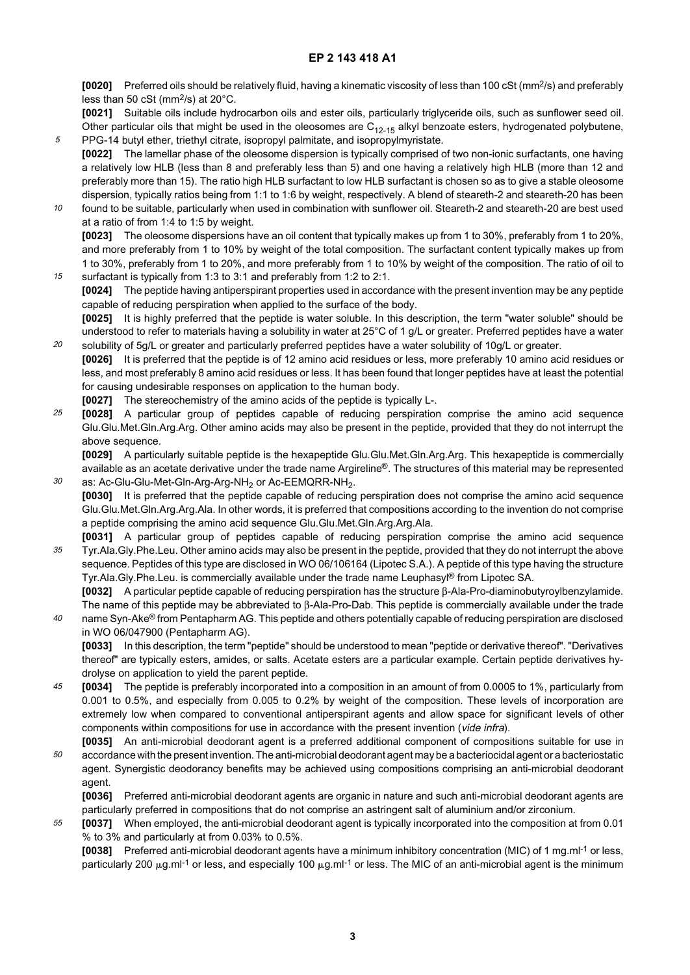**[0020]** Preferred oils should be relatively fluid, having a kinematic viscosity of less than 100 cSt (mm2/s) and preferably less than 50 cSt (mm $2$ /s) at 20 $^{\circ}$ C.

**[0021]** Suitable oils include hydrocarbon oils and ester oils, particularly triglyceride oils, such as sunflower seed oil. Other particular oils that might be used in the oleosomes are  $C_{12-15}$  alkyl benzoate esters, hydrogenated polybutene, PPG-14 butyl ether, triethyl citrate, isopropyl palmitate, and isopropylmyristate.

- **[0022]** The lamellar phase of the oleosome dispersion is typically comprised of two non-ionic surfactants, one having a relatively low HLB (less than 8 and preferably less than 5) and one having a relatively high HLB (more than 12 and preferably more than 15). The ratio high HLB surfactant to low HLB surfactant is chosen so as to give a stable oleosome dispersion, typically ratios being from 1:1 to 1:6 by weight, respectively. A blend of steareth-2 and steareth-20 has been
- 10 found to be suitable, particularly when used in combination with sunflower oil. Steareth-2 and steareth-20 are best used at a ratio of from 1:4 to 1:5 by weight.

**[0023]** The oleosome dispersions have an oil content that typically makes up from 1 to 30%, preferably from 1 to 20%, and more preferably from 1 to 10% by weight of the total composition. The surfactant content typically makes up from 1 to 30%, preferably from 1 to 20%, and more preferably from 1 to 10% by weight of the composition. The ratio of oil to surfactant is typically from 1:3 to 3:1 and preferably from 1:2 to 2:1.

**[0024]** The peptide having antiperspirant properties used in accordance with the present invention may be any peptide capable of reducing perspiration when applied to the surface of the body.

**[0025]** It is highly preferred that the peptide is water soluble. In this description, the term "water soluble" should be understood to refer to materials having a solubility in water at 25°C of 1 g/L or greater. Preferred peptides have a water solubility of 5g/L or greater and particularly preferred peptides have a water solubility of 10g/L or greater.

- **[0026]** It is preferred that the peptide is of 12 amino acid residues or less, more preferably 10 amino acid residues or less, and most preferably 8 amino acid residues or less. It has been found that longer peptides have at least the potential for causing undesirable responses on application to the human body.
- **[0027]** The stereochemistry of the amino acids of the peptide is typically L-.

5

15

20

30

25 **[0028]** A particular group of peptides capable of reducing perspiration comprise the amino acid sequence Glu.Glu.Met.Gln.Arg.Arg. Other amino acids may also be present in the peptide, provided that they do not interrupt the above sequence.

**[0029]** A particularly suitable peptide is the hexapeptide Glu.Glu.Met.Gln.Arg.Arg. This hexapeptide is commercially available as an acetate derivative under the trade name Argireline®. The structures of this material may be represented as: Ac-Glu-Glu-Met-Gln-Arg-Arg-NH<sub>2</sub> or Ac-EEMQRR-NH<sub>2</sub>.

- **[0030]** It is preferred that the peptide capable of reducing perspiration does not comprise the amino acid sequence Glu.Glu.Met.Gln.Arg.Arg.Ala. In other words, it is preferred that compositions according to the invention do not comprise a peptide comprising the amino acid sequence Glu.Glu.Met.Gln.Arg.Arg.Ala.
- 35 **[0031]** A particular group of peptides capable of reducing perspiration comprise the amino acid sequence Tyr.Ala.Gly.Phe.Leu. Other amino acids may also be present in the peptide, provided that they do not interrupt the above sequence. Peptides of this type are disclosed in WO 06/106164 (Lipotec S.A.). A peptide of this type having the structure Tyr.Ala.Gly.Phe.Leu. is commercially available under the trade name Leuphasyl® from Lipotec SA.

**[0032]** A particular peptide capable of reducing perspiration has the structure β-Ala-Pro-diaminobutyroylbenzylamide. The name of this peptide may be abbreviated to β-Ala-Pro-Dab. This peptide is commercially available under the trade

 $40$ name Syn-Ake<sup>®</sup> from Pentapharm AG. This peptide and others potentially capable of reducing perspiration are disclosed in WO 06/047900 (Pentapharm AG). **[0033]** In this description, the term "peptide" should be understood to mean "peptide or derivative thereof". "Derivatives

thereof" are typically esters, amides, or salts. Acetate esters are a particular example. Certain peptide derivatives hydrolyse on application to yield the parent peptide.

- 45 **[0034]** The peptide is preferably incorporated into a composition in an amount of from 0.0005 to 1%, particularly from 0.001 to 0.5%, and especially from 0.005 to 0.2% by weight of the composition. These levels of incorporation are extremely low when compared to conventional antiperspirant agents and allow space for significant levels of other components within compositions for use in accordance with the present invention (vide infra).
- 50 **[0035]** An anti-microbial deodorant agent is a preferred additional component of compositions suitable for use in accordance with the present invention. The anti-microbial deodorant agent may be a bacteriocidal agent or a bacteriostatic agent. Synergistic deodorancy benefits may be achieved using compositions comprising an anti-microbial deodorant agent.

**[0036]** Preferred anti-microbial deodorant agents are organic in nature and such anti-microbial deodorant agents are particularly preferred in compositions that do not comprise an astringent salt of aluminium and/or zirconium.

55 **[0037]** When employed, the anti-microbial deodorant agent is typically incorporated into the composition at from 0.01 % to 3% and particularly at from 0.03% to 0.5%.

**[0038]** Preferred anti-microbial deodorant agents have a minimum inhibitory concentration (MIC) of 1 mg.ml-1 or less, particularly 200  $\mu$ q.ml<sup>-1</sup> or less, and especially 100  $\mu$ q.ml<sup>-1</sup> or less. The MIC of an anti-microbial agent is the minimum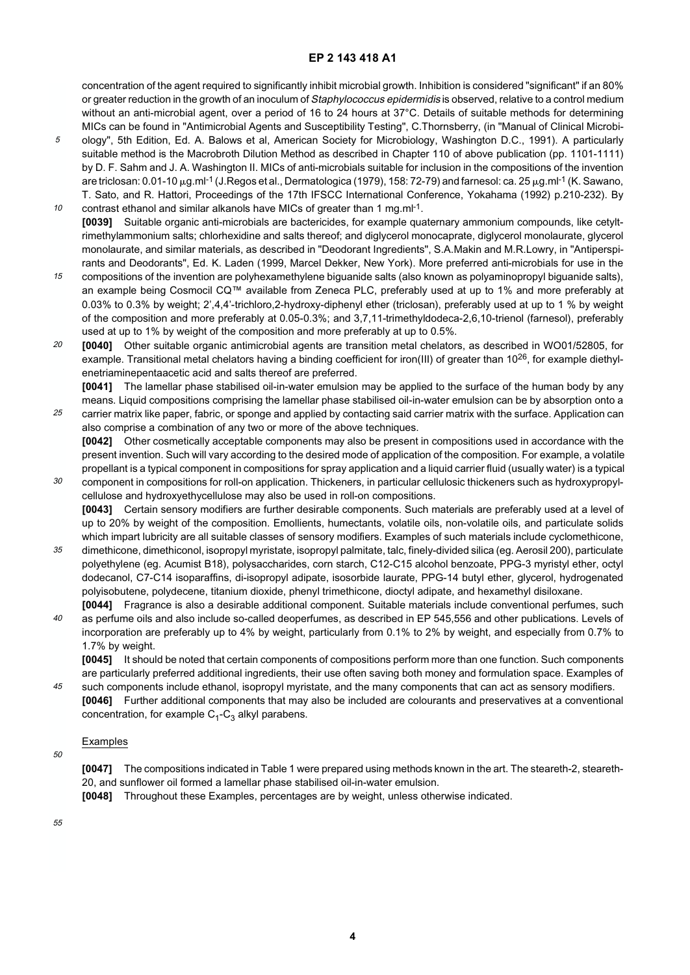concentration of the agent required to significantly inhibit microbial growth. Inhibition is considered "significant" if an 80% or greater reduction in the growth of an inoculum of Staphylococcus epidermidis is observed, relative to a control medium without an anti-microbial agent, over a period of 16 to 24 hours at 37°C. Details of suitable methods for determining MICs can be found in "Antimicrobial Agents and Susceptibility Testing", C.Thornsberry, (in "Manual of Clinical Microbi-

- 5 ology", 5th Edition, Ed. A. Balows et al, American Society for Microbiology, Washington D.C., 1991). A particularly suitable method is the Macrobroth Dilution Method as described in Chapter 110 of above publication (pp. 1101-1111) by D. F. Sahm and J. A. Washington II. MICs of anti-microbials suitable for inclusion in the compositions of the invention are triclosan: 0.01-10  $\mu$ g.ml<sup>-1</sup> (J.Regos et al., Dermatologica (1979), 158: 72-79) and farnesol: ca. 25  $\mu$ g.ml<sup>-1</sup> (K. Sawano, T. Sato, and R. Hattori, Proceedings of the 17th IFSCC International Conference, Yokahama (1992) p.210-232). By
- 10 contrast ethanol and similar alkanols have MICs of greater than 1 mg.ml<sup>-1</sup>. **[0039]** Suitable organic anti-microbials are bactericides, for example quaternary ammonium compounds, like cetyltrimethylammonium salts; chlorhexidine and salts thereof; and diglycerol monocaprate, diglycerol monolaurate, glycerol monolaurate, and similar materials, as described in "Deodorant Ingredients", S.A.Makin and M.R.Lowry, in "Antiperspirants and Deodorants", Ed. K. Laden (1999, Marcel Dekker, New York). More preferred anti-microbials for use in the
- 15 compositions of the invention are polyhexamethylene biguanide salts (also known as polyaminopropyl biguanide salts), an example being Cosmocil CQ™ available from Zeneca PLC, preferably used at up to 1% and more preferably at 0.03% to 0.3% by weight; 2',4,4'-trichloro,2-hydroxy-diphenyl ether (triclosan), preferably used at up to 1 % by weight of the composition and more preferably at 0.05-0.3%; and 3,7,11-trimethyldodeca-2,6,10-trienol (farnesol), preferably used at up to 1% by weight of the composition and more preferably at up to 0.5%.
- 20 **[0040]** Other suitable organic antimicrobial agents are transition metal chelators, as described in WO01/52805, for example. Transitional metal chelators having a binding coefficient for iron(III) of greater than 10<sup>26</sup>, for example diethylenetriaminepentaacetic acid and salts thereof are preferred.

**[0041]** The lamellar phase stabilised oil-in-water emulsion may be applied to the surface of the human body by any means. Liquid compositions comprising the lamellar phase stabilised oil-in-water emulsion can be by absorption onto a carrier matrix like paper, fabric, or sponge and applied by contacting said carrier matrix with the surface. Application can also comprise a combination of any two or more of the above techniques.

**[0042]** Other cosmetically acceptable components may also be present in compositions used in accordance with the present invention. Such will vary according to the desired mode of application of the composition. For example, a volatile propellant is a typical component in compositions for spray application and a liquid carrier fluid (usually water) is a typical

- 30 component in compositions for roll-on application. Thickeners, in particular cellulosic thickeners such as hydroxypropylcellulose and hydroxyethycellulose may also be used in roll-on compositions. **[0043]** Certain sensory modifiers are further desirable components. Such materials are preferably used at a level of up to 20% by weight of the composition. Emollients, humectants, volatile oils, non-volatile oils, and particulate solids which impart lubricity are all suitable classes of sensory modifiers. Examples of such materials include cyclomethicone,
- 35 dimethicone, dimethiconol, isopropyl myristate, isopropyl palmitate, talc, finely-divided silica (eg. Aerosil 200), particulate polyethylene (eg. Acumist B18), polysaccharides, corn starch, C12-C15 alcohol benzoate, PPG-3 myristyl ether, octyl dodecanol, C7-C14 isoparaffins, di-isopropyl adipate, isosorbide laurate, PPG-14 butyl ether, glycerol, hydrogenated polyisobutene, polydecene, titanium dioxide, phenyl trimethicone, dioctyl adipate, and hexamethyl disiloxane. **[0044]** Fragrance is also a desirable additional component. Suitable materials include conventional perfumes, such
- $40$ as perfume oils and also include so-called deoperfumes, as described in EP 545,556 and other publications. Levels of incorporation are preferably up to 4% by weight, particularly from 0.1% to 2% by weight, and especially from 0.7% to 1.7% by weight.

**[0045]** It should be noted that certain components of compositions perform more than one function. Such components are particularly preferred additional ingredients, their use often saving both money and formulation space. Examples of

45 such components include ethanol, isopropyl myristate, and the many components that can act as sensory modifiers. **[0046]** Further additional components that may also be included are colourants and preservatives at a conventional concentration, for example  $C_1-C_3$  alkyl parabens.

## Examples

**[0047]** The compositions indicated in Table 1 were prepared using methods known in the art. The steareth-2, steareth-20, and sunflower oil formed a lamellar phase stabilised oil-in-water emulsion.

**[0048]** Throughout these Examples, percentages are by weight, unless otherwise indicated.

55

50

25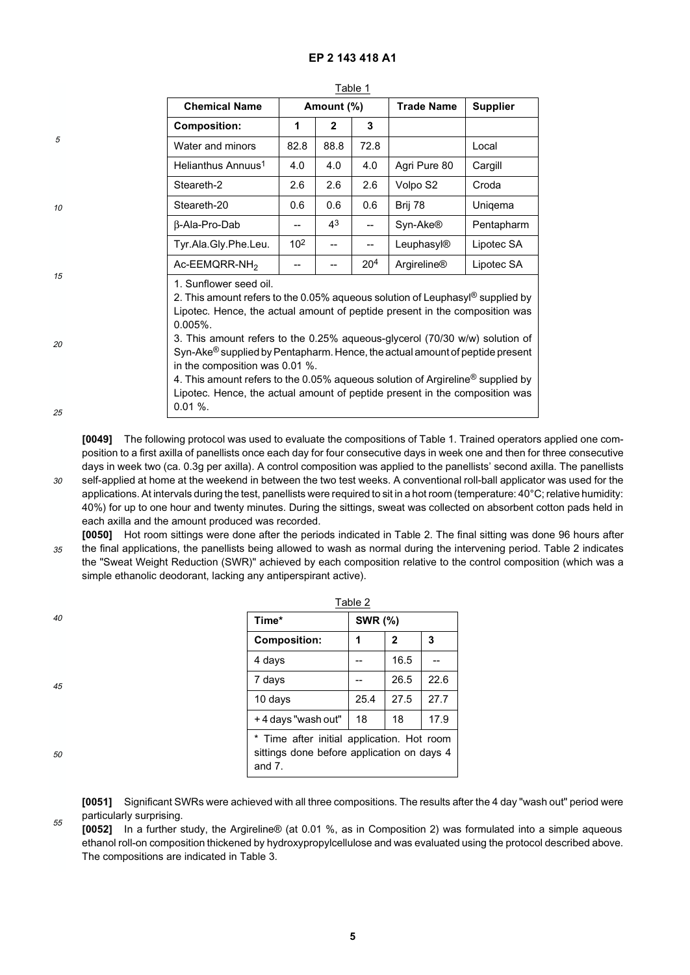|          | <b>Chemical Name</b>                                                                                                                                                                                                                                                                                                                                                                                                                                                                                                                                                                                        | Amount (%) |              | <b>Trade Name</b> | <b>Supplier</b>        |            |
|----------|-------------------------------------------------------------------------------------------------------------------------------------------------------------------------------------------------------------------------------------------------------------------------------------------------------------------------------------------------------------------------------------------------------------------------------------------------------------------------------------------------------------------------------------------------------------------------------------------------------------|------------|--------------|-------------------|------------------------|------------|
|          | <b>Composition:</b>                                                                                                                                                                                                                                                                                                                                                                                                                                                                                                                                                                                         | 1          | $\mathbf{2}$ | 3                 |                        |            |
| 5        | Water and minors                                                                                                                                                                                                                                                                                                                                                                                                                                                                                                                                                                                            | 82.8       | 88.8         | 72.8              |                        | Local      |
|          | Helianthus Annuus <sup>1</sup>                                                                                                                                                                                                                                                                                                                                                                                                                                                                                                                                                                              | 4.0        | 4.0          | 4.0               | Agri Pure 80           | Cargill    |
|          | Steareth-2                                                                                                                                                                                                                                                                                                                                                                                                                                                                                                                                                                                                  | 2.6        | 2.6          | 2.6               | Volpo S2               | Croda      |
| 10       | Steareth-20                                                                                                                                                                                                                                                                                                                                                                                                                                                                                                                                                                                                 | 0.6        | 0.6          | 0.6               | Brij 78                | Uniqema    |
|          | β-Ala-Pro-Dab                                                                                                                                                                                                                                                                                                                                                                                                                                                                                                                                                                                               | −−         | 43           |                   | Syn-Ake®               | Pentapharm |
|          | Tyr.Ala.Gly.Phe.Leu.                                                                                                                                                                                                                                                                                                                                                                                                                                                                                                                                                                                        | 102        | --           |                   | Leuphasyl <sup>®</sup> | Lipotec SA |
|          | Ac-EEMQRR-NH <sub>2</sub>                                                                                                                                                                                                                                                                                                                                                                                                                                                                                                                                                                                   |            |              | 20 <sup>4</sup>   | Argireline®            | Lipotec SA |
| 15<br>20 | 1. Sunflower seed oil.<br>2. This amount refers to the 0.05% aqueous solution of Leuphasyl <sup>®</sup> supplied by<br>Lipotec. Hence, the actual amount of peptide present in the composition was<br>$0.005\%$ .<br>3. This amount refers to the 0.25% aqueous-glycerol (70/30 w/w) solution of<br>Syn-Ake <sup>®</sup> supplied by Pentapharm. Hence, the actual amount of peptide present<br>in the composition was 0.01 %.<br>4. This amount refers to the 0.05% aqueous solution of Argireline <sup>®</sup> supplied by<br>Lipotec. Hence, the actual amount of peptide present in the composition was |            |              |                   |                        |            |
| 25       | $0.01 \%$ .                                                                                                                                                                                                                                                                                                                                                                                                                                                                                                                                                                                                 |            |              |                   |                        |            |

Table 1

30 **[0049]** The following protocol was used to evaluate the compositions of Table 1. Trained operators applied one composition to a first axilla of panellists once each day for four consecutive days in week one and then for three consecutive days in week two (ca. 0.3g per axilla). A control composition was applied to the panellists' second axilla. The panellists self-applied at home at the weekend in between the two test weeks. A conventional roll-ball applicator was used for the applications. At intervals during the test, panellists were required to sit in a hot room (temperature: 40°C; relative humidity: 40%) for up to one hour and twenty minutes. During the sittings, sweat was collected on absorbent cotton pads held in each axilla and the amount produced was recorded.

35 **[0050]** Hot room sittings were done after the periods indicated in Table 2. The final sitting was done 96 hours after the final applications, the panellists being allowed to wash as normal during the intervening period. Table 2 indicates the "Sweat Weight Reduction (SWR)" achieved by each composition relative to the control composition (which was a simple ethanolic deodorant, lacking any antiperspirant active).

|    | Table 2                                                                                              |                |              |      |  |
|----|------------------------------------------------------------------------------------------------------|----------------|--------------|------|--|
| 40 | Time*                                                                                                | <b>SWR (%)</b> |              |      |  |
|    | <b>Composition:</b>                                                                                  | 1              | $\mathbf{2}$ | 3    |  |
|    | 4 days                                                                                               |                | 16.5         |      |  |
| 45 | 7 days                                                                                               |                | 26.5         | 22.6 |  |
|    | 10 days                                                                                              | 25.4           | 27.5         | 27.7 |  |
|    | +4 days "wash out"                                                                                   | 18             | 18           | 17.9 |  |
| 50 | * Time after initial application. Hot room<br>sittings done before application on days 4<br>and $7.$ |                |              |      |  |

50

55

**[0051]** Significant SWRs were achieved with all three compositions. The results after the 4 day "wash out" period were particularly surprising.

**[0052]** In a further study, the Argireline® (at 0.01 %, as in Composition 2) was formulated into a simple aqueous ethanol roll-on composition thickened by hydroxypropylcellulose and was evaluated using the protocol described above. The compositions are indicated in Table 3.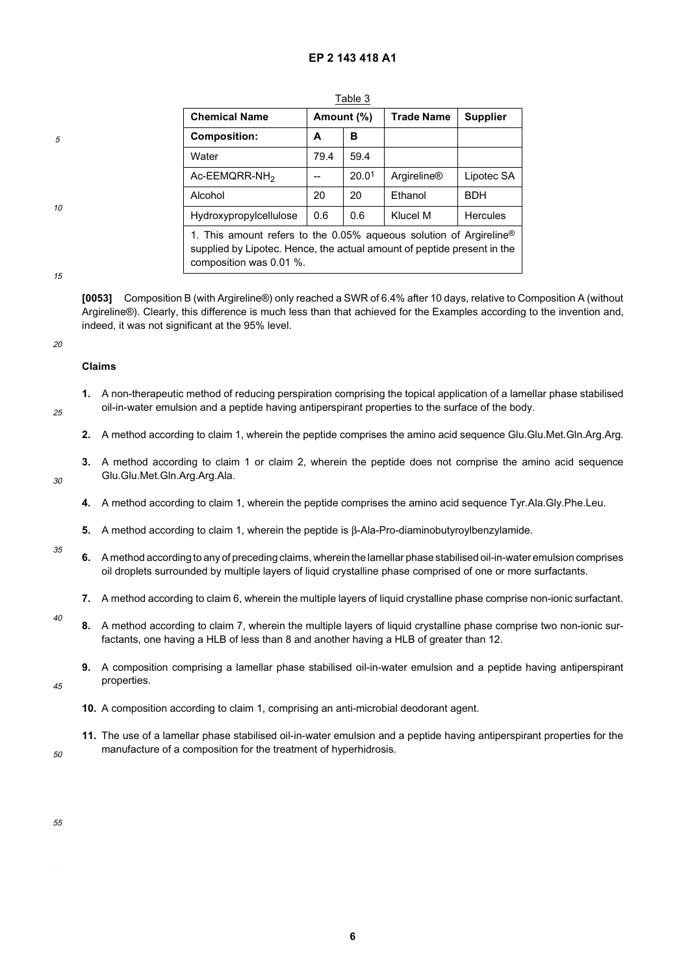| i abie o                                                                                                                                                                             |            |       |                   |                 |  |  |  |
|--------------------------------------------------------------------------------------------------------------------------------------------------------------------------------------|------------|-------|-------------------|-----------------|--|--|--|
| <b>Chemical Name</b>                                                                                                                                                                 | Amount (%) |       | <b>Trade Name</b> | <b>Supplier</b> |  |  |  |
| <b>Composition:</b>                                                                                                                                                                  | A          | в     |                   |                 |  |  |  |
| Water                                                                                                                                                                                | 79.4       | 59.4  |                   |                 |  |  |  |
| $Ac$ -EEMQRR-NH <sub>2</sub>                                                                                                                                                         |            | 20.01 | Argireline®       | Lipotec SA      |  |  |  |
| Alcohol                                                                                                                                                                              | 20         | 20    | Ethanol           | <b>BDH</b>      |  |  |  |
| Hydroxypropylcellulose                                                                                                                                                               | 0.6        | 0.6   | Klucel M          | <b>Hercules</b> |  |  |  |
| 1. This amount refers to the 0.05% aqueous solution of Argireline <sup>®</sup><br>supplied by Lipotec. Hence, the actual amount of peptide present in the<br>composition was 0.01 %. |            |       |                   |                 |  |  |  |

Table 2

15

5

10

**[0053]** Composition B (with Argireline®) only reached a SWR of 6.4% after 10 days, relative to Composition A (without Argireline®). Clearly, this difference is much less than that achieved for the Examples according to the invention and, indeed, it was not significant at the 95% level.

#### 20

25

30

35

## **Claims**

- **1.** A non-therapeutic method of reducing perspiration comprising the topical application of a lamellar phase stabilised oil-in-water emulsion and a peptide having antiperspirant properties to the surface of the body.
- **2.** A method according to claim 1, wherein the peptide comprises the amino acid sequence Glu.Glu.Met.Gln.Arg.Arg.
- **3.** A method according to claim 1 or claim 2, wherein the peptide does not comprise the amino acid sequence Glu.Glu.Met.Gln.Arg.Arg.Ala.
- **4.** A method according to claim 1, wherein the peptide comprises the amino acid sequence Tyr.Ala.Gly.Phe.Leu.
- **5.** A method according to claim 1, wherein the peptide is β-Ala-Pro-diaminobutyroylbenzylamide.
- **6.** A method according to any of preceding claims, wherein the lamellar phase stabilised oil-in-water emulsion comprises oil droplets surrounded by multiple layers of liquid crystalline phase comprised of one or more surfactants.
	- **7.** A method according to claim 6, wherein the multiple layers of liquid crystalline phase comprise non-ionic surfactant.
- 40 **8.** A method according to claim 7, wherein the multiple layers of liquid crystalline phase comprise two non-ionic surfactants, one having a HLB of less than 8 and another having a HLB of greater than 12.
	- **9.** A composition comprising a lamellar phase stabilised oil-in-water emulsion and a peptide having antiperspirant properties.
		- **10.** A composition according to claim 1, comprising an anti-microbial deodorant agent.
		- **11.** The use of a lamellar phase stabilised oil-in-water emulsion and a peptide having antiperspirant properties for the manufacture of a composition for the treatment of hyperhidrosis.

50

45

55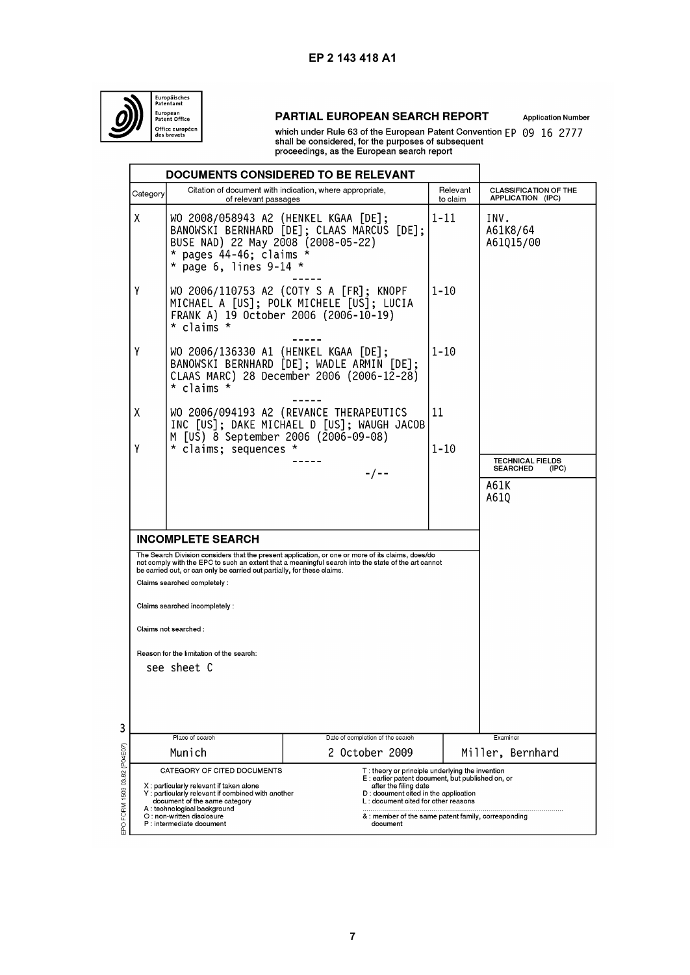

J.

# PARTIAL EUROPEAN SEARCH REPORT

**Application Number** 

which under Rule 63 of the European Patent Convention  $EP$  09 16 2777<br>shall be considered, for the purposes of subsequent<br>proceedings, as the European search report

|                                                                                                                                                                                                                                                                                                                                                                                                                                                                                                   | DOCUMENTS CONSIDERED TO BE RELEVANT                                                                                                                                   |                                                                                                                                                                                                          |                      |                                                     |
|---------------------------------------------------------------------------------------------------------------------------------------------------------------------------------------------------------------------------------------------------------------------------------------------------------------------------------------------------------------------------------------------------------------------------------------------------------------------------------------------------|-----------------------------------------------------------------------------------------------------------------------------------------------------------------------|----------------------------------------------------------------------------------------------------------------------------------------------------------------------------------------------------------|----------------------|-----------------------------------------------------|
| Category                                                                                                                                                                                                                                                                                                                                                                                                                                                                                          | of relevant passages                                                                                                                                                  | Citation of document with indication, where appropriate,                                                                                                                                                 | Relevant<br>to claim | <b>CLASSIFICATION OF THE</b><br>APPLICATION (IPC)   |
| X                                                                                                                                                                                                                                                                                                                                                                                                                                                                                                 | WO 2008/058943 A2 (HENKEL KGAA [DE];<br>BUSE NAD) 22 May 2008 (2008-05-22)<br>* pages $44-46$ ; claims *<br>* page 6, lines $9-14$ *                                  | BANOWSKI BERNHARD [DE]; CLAAS MARCUS [DE];                                                                                                                                                               | 1-11                 | INV.<br>A61K8/64<br>A61Q15/00                       |
| Υ                                                                                                                                                                                                                                                                                                                                                                                                                                                                                                 | FRANK A) 19 October 2006 (2006-10-19)<br>$*$ claims $*$                                                                                                               | WO 2006/110753 A2 (COTY S A [FR]; KNOPF<br>MICHAEL A [US]; POLK MICHELE [US]; LUCIA                                                                                                                      | 1-10                 |                                                     |
| Υ                                                                                                                                                                                                                                                                                                                                                                                                                                                                                                 | WO 2006/136330 A1 (HENKEL KGAA [DE];<br>$*$ claims $*$                                                                                                                | BANOWSKI BERNHARD [DE]; WADLE ARMIN [DE];<br>CLAAS MARC) 28 December 2006 (2006-12-28)                                                                                                                   | 1-10                 |                                                     |
| χ                                                                                                                                                                                                                                                                                                                                                                                                                                                                                                 | M [US) 8 September 2006 (2006-09-08)                                                                                                                                  | WO 2006/094193 A2 (REVANCE THERAPEUTICS<br>INC [US]; DAKE MICHAEL D [US]; WAUGH JACOB                                                                                                                    | 11                   |                                                     |
| γ                                                                                                                                                                                                                                                                                                                                                                                                                                                                                                 | * claims; sequences *                                                                                                                                                 | - / - -                                                                                                                                                                                                  | 1-10                 | <b>TECHNICAL FIELDS</b><br><b>SEARCHED</b><br>(IPC) |
|                                                                                                                                                                                                                                                                                                                                                                                                                                                                                                   |                                                                                                                                                                       |                                                                                                                                                                                                          |                      | A61K<br>A610                                        |
|                                                                                                                                                                                                                                                                                                                                                                                                                                                                                                   | <b>INCOMPLETE SEARCH</b><br>be carried out, or can only be carried out partially, for these claims.<br>Claims searched completely :<br>Claims searched incompletely : | The Search Division considers that the present application, or one or more of its claims, does/do<br>not comply with the EPC to such an extent that a meaningful search into the state of the art cannot |                      |                                                     |
|                                                                                                                                                                                                                                                                                                                                                                                                                                                                                                   | Claims not searched :                                                                                                                                                 |                                                                                                                                                                                                          |                      |                                                     |
|                                                                                                                                                                                                                                                                                                                                                                                                                                                                                                   | Reason for the limitation of the search:<br>see sheet C                                                                                                               |                                                                                                                                                                                                          |                      |                                                     |
|                                                                                                                                                                                                                                                                                                                                                                                                                                                                                                   |                                                                                                                                                                       |                                                                                                                                                                                                          |                      |                                                     |
|                                                                                                                                                                                                                                                                                                                                                                                                                                                                                                   | Place of search                                                                                                                                                       | Date of completion of the search                                                                                                                                                                         |                      | Examiner                                            |
|                                                                                                                                                                                                                                                                                                                                                                                                                                                                                                   | Munich                                                                                                                                                                | 2 October 2009                                                                                                                                                                                           |                      | Miller, Bernhard                                    |
| CATEGORY OF CITED DOCUMENTS<br>T: theory or principle underlying the invention<br>E: earlier patent document, but published on, or<br>X : particularly relevant if taken alone<br>after the filing date<br>D: document cited in the application<br>Y : particularly relevant if combined with another<br>document of the same category<br>L: document cited for other reasons<br>A: technological background<br>O : non-written disclosure<br>& : member of the same patent family, corresponding |                                                                                                                                                                       |                                                                                                                                                                                                          |                      |                                                     |
|                                                                                                                                                                                                                                                                                                                                                                                                                                                                                                   | P : intermediate document                                                                                                                                             | document                                                                                                                                                                                                 |                      |                                                     |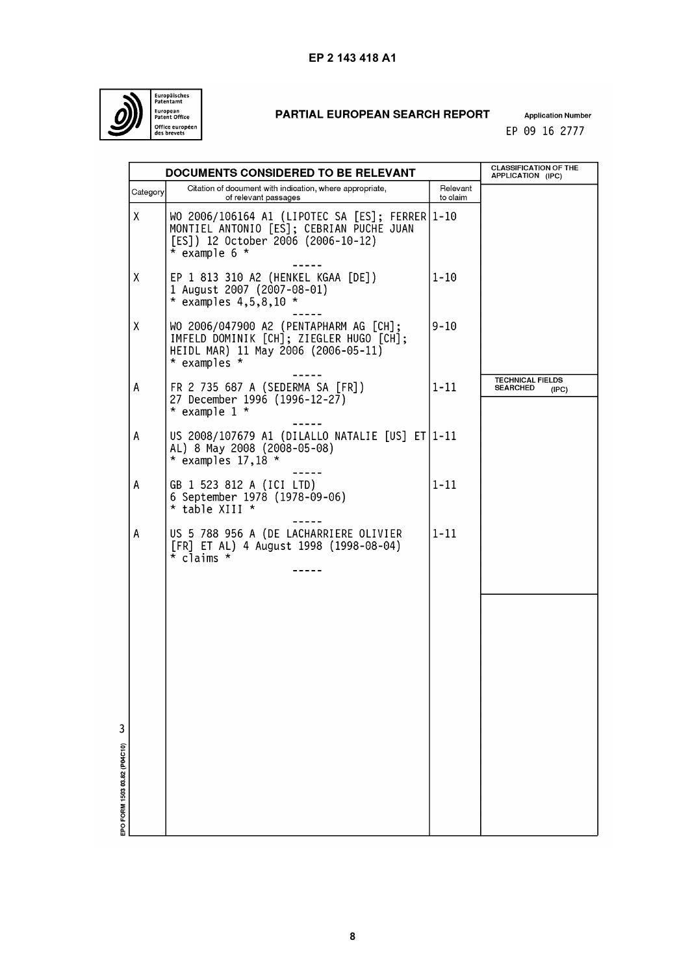

# PARTIAL EUROPEAN SEARCH REPORT

**Application Number** EP 09 16 2777

|          | <b>DOCUMENTS CONSIDERED TO BE RELEVANT</b>                                                                                                             |                      | <b>CLASSIFICATION OF THE</b><br>APPLICATION (IPC)   |
|----------|--------------------------------------------------------------------------------------------------------------------------------------------------------|----------------------|-----------------------------------------------------|
| Category | Citation of document with indication, where appropriate,<br>of relevant passages                                                                       | Relevant<br>to claim |                                                     |
| X.       | WO 2006/106164 A1 (LIPOTEC SA [ES]; FERRER 1-10<br>MONTIEL ANTONIO [ES]; CEBRIAN PUCHE JUAN<br>[ES]) 12 October 2006 (2006-10-12)<br>$*$ example 6 $*$ |                      |                                                     |
| X        | EP 1 813 310 A2 (HENKEL KGAA [DE])<br>1 August 2007 (2007-08-01)<br>* examples $4,5,8,10$ *                                                            | $1 - 10$             |                                                     |
| Χ        | WO 2006/047900 A2 (PENTAPHARM AG [CH];<br>IMFELD DOMINIK [CH]; ZIEGLER HUGO [CH];<br>HEIDL MAR) 11 May 2006 (2006-05-11)<br>$*$ examples $*$           | $9 - 10$             |                                                     |
| A        | FR 2 735 687 A (SEDERMA SA [FR])<br>27 December 1996 (1996-12-27)<br>$*$ example 1 $*$                                                                 | $1 - 11$             | <b>TECHNICAL FIELDS</b><br><b>SEARCHED</b><br>(IPC) |
| A        | US 2008/107679 A1 (DILALLO NATALIE [US] ET 1-11<br>AL) 8 May 2008 (2008-05-08)<br>$*$ examples 17.18 $*$                                               |                      |                                                     |
| А        | GB 1 523 812 A (ICI LTD)<br>6 September 1978 (1978-09-06)<br>* table XIII *                                                                            | $1 - 11$             |                                                     |
| A        | US 5 788 956 A (DE LACHARRIERE OLIVIER<br>[FR] ET AL) 4 August 1998 (1998-08-04)<br>$*$ claims $*$                                                     | $1 - 11$             |                                                     |
|          |                                                                                                                                                        |                      |                                                     |
|          |                                                                                                                                                        |                      |                                                     |
|          |                                                                                                                                                        |                      |                                                     |
|          |                                                                                                                                                        |                      |                                                     |
|          |                                                                                                                                                        |                      |                                                     |
|          |                                                                                                                                                        |                      |                                                     |
|          |                                                                                                                                                        |                      |                                                     |
|          |                                                                                                                                                        |                      |                                                     |
|          |                                                                                                                                                        |                      |                                                     |
|          |                                                                                                                                                        |                      |                                                     |
|          |                                                                                                                                                        |                      |                                                     |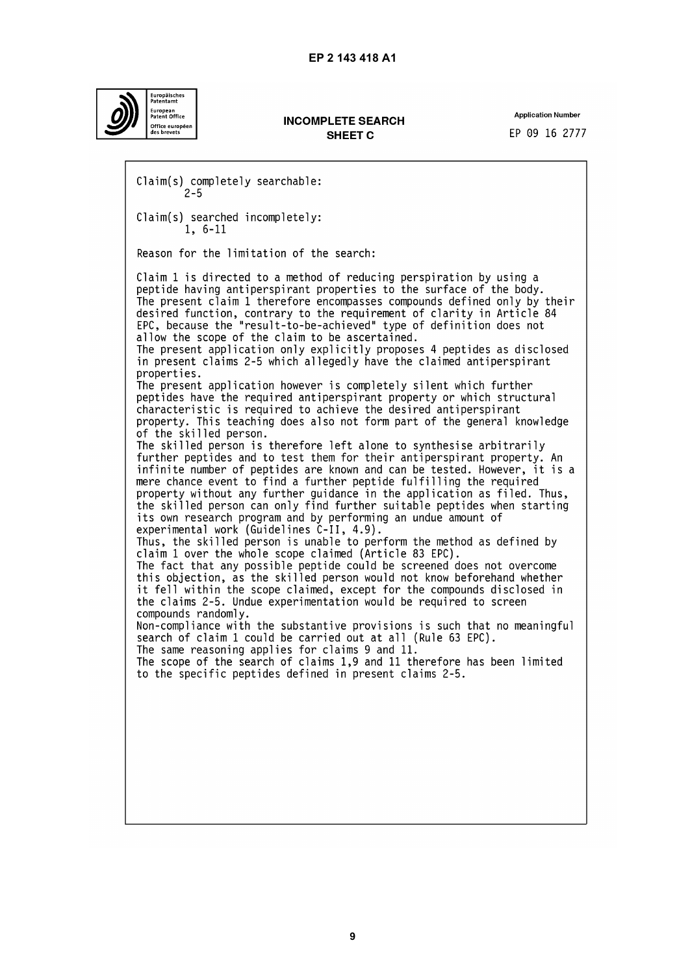

# **INCOMPLETE SEARCH** SHEFT C

**Application Number** EP 09 16 2777

Claim(s) completely searchable:  $2 - 5$ Claim(s) searched incompletely:  $1.6 - 11$ Reason for the limitation of the search: Claim 1 is directed to a method of reducing perspiration by using a peptide having antiperspirant properties to the surface of the body. The present claim 1 therefore encompasses compounds defined only by their desired function, contrary to the requirement of clarity in Article 84<br>EPC, because the "result-to-be-achieved" type of definition does not allow the scope of the claim to be ascertained. The present application only explicitly proposes 4 peptides as disclosed in present claims 2-5 which allegedly have the claimed antiperspirant properties. The present application however is completely silent which further peptides have the required antiperspirant property or which structural characteristic is required to achieve the desired antiperspirant property. This teaching does also not form part of the general knowledge of the skilled person. The skilled person is therefore left alone to synthesise arbitrarily further peptides and to test them for their antiperspirant property. An infinite number of peptides are known and can be tested. However, it is a mere chance event to find a further peptide fulfilling the required property without any further guidance in the application as filed. Thus,<br>the skilled person can only find further suitable peptides when starting its own research program and by performing an undue amount of experimental work (Guidelines C-II, 4.9). Thus, the skilled person is unable to perform the method as defined by claim 1 over the whole scope claimed (Article 83 EPC). The fact that any possible peptide could be screened does not overcome this objection, as the skilled person would not know beforehand whether it fell within the scope claimed, except for the compounds disclosed in the claims 2-5. Undue experimentation would be required to screen compounds randomly. Non-compliance with the substantive provisions is such that no meaningful search of claim 1 could be carried out at all (Rule 63 EPC). The same reasoning applies for claims 9 and  $11$ .<br>The scope of the search of claims 1,9 and 11 therefore has been limited to the specific peptides defined in present claims 2-5.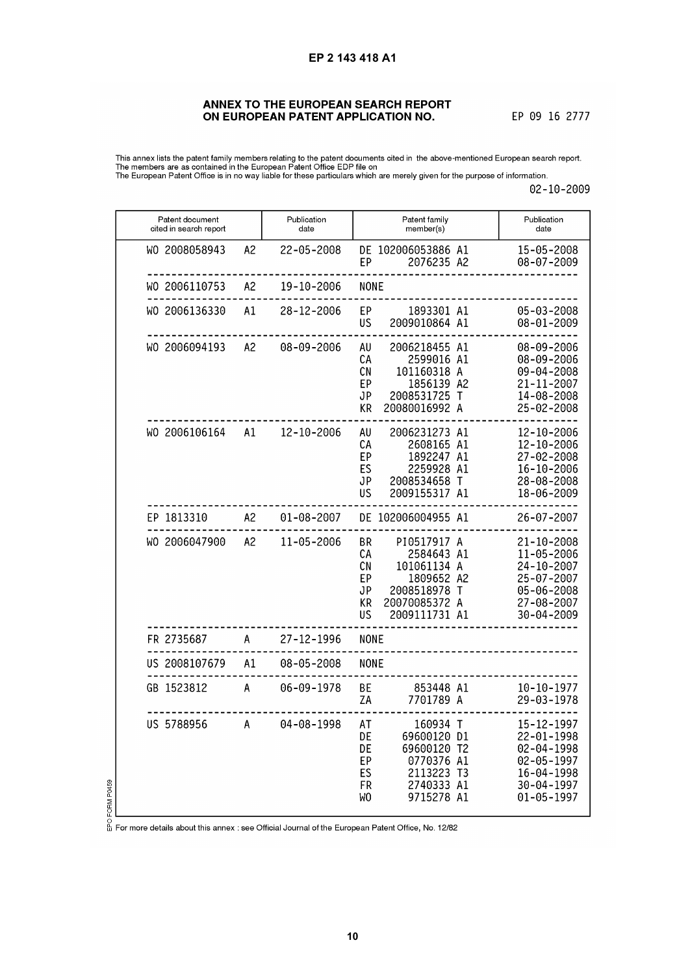#### ANNEX TO THE EUROPEAN SEARCH REPORT ON EUROPEAN PATENT APPLICATION NO.

EP 09 16 2777

This annex lists the patent family members relating to the patent documents cited in the above-mentioned European search report.<br>The members are as contained in the European Patent Office EDP file on<br>The European Patent O

 $02 - 10 - 2009$ 

| Patent document<br>cited in search report | Publication<br>date | Patent family<br>member(s)                                                                                                                                        | Publication<br>date                                                                                                    |
|-------------------------------------------|---------------------|-------------------------------------------------------------------------------------------------------------------------------------------------------------------|------------------------------------------------------------------------------------------------------------------------|
| WO 2008058943<br>A <sub>2</sub>           | 22-05-2008          | DE 102006053886 A1<br>ЕP<br>2076235 A2                                                                                                                            | $15 - 05 - 2008$<br>08-07-2009                                                                                         |
| WO 2006110753<br>A <sub>2</sub>           | 19-10-2006          | <b>NONE</b>                                                                                                                                                       |                                                                                                                        |
| WO 2006136330<br>A1                       | 28-12-2006          | EP<br>1893301 A1<br>US<br>2009010864 A1                                                                                                                           | $05 - 03 - 2008$<br>08-01-2009                                                                                         |
| WO 2006094193<br>A <sub>2</sub>           | 08-09-2006          | 2006218455 A1<br>AU<br>CА<br>2599016 A1<br>CN<br>101160318 A<br>EP<br>1856139 A2<br>JP<br>2008531725 T<br>KR<br>20080016992 A                                     | ------<br>08-09-2006<br>08-09-2006<br>09-04-2008<br>21-11-2007<br>14-08-2008<br>25-02-2008                             |
| WO 2006106164<br>A1                       | 12-10-2006          | 2006231273 A1<br>AU<br>2608165 A1<br>CА<br>EP<br>1892247 A1<br>ES<br>2259928 A1<br>JР<br>2008534658 T<br>US<br>2009155317 A1                                      | 12-10-2006<br>12-10-2006<br>27-02-2008<br>16-10-2006<br>28-08-2008<br>18-06-2009                                       |
| Α2<br>EP 1813310                          | $01 - 08 - 2007$    | DE 102006004955 A1                                                                                                                                                | 26-07-2007<br>------                                                                                                   |
| WO 2006047900<br>A <sub>2</sub>           | 11-05-2006          | <b>BR</b><br>PI0517917 A<br>CА<br>2584643 A1<br>CN<br>101061134 A<br>EP<br>1809652 A2<br>JP<br>2008518978<br>$\top$<br>KR<br>20070085372 A<br>US<br>2009111731 A1 | 21-10-2008<br>11-05-2006<br>24-10-2007<br>25-07-2007<br>$05 - 06 - 2008$<br>27-08-2007<br>30-04-2009                   |
| FR 2735687<br>A                           | 27-12-1996          | <b>NONE</b><br>-----------------------------                                                                                                                      |                                                                                                                        |
| US 2008107679<br>A1                       | 08-05-2008          | <b>NONE</b>                                                                                                                                                       |                                                                                                                        |
| GB 1523812<br>A                           | 06-09-1978          | BE<br>853448 A1<br>7701789 A<br>ZΑ                                                                                                                                | 10-10-1977<br>29-03-1978                                                                                               |
| US 5788956<br>A                           | 04-08-1998          | 160934 T<br>AT<br>DE<br>69600120 D1<br>DE<br>69600120 T2<br>EP<br>0770376 A1<br>ES<br>2113223 T3<br>2740333 A1<br>FR<br>9715278 A1<br>WO                          | 15-12-1997<br>22-01-1998<br>$02 - 04 - 1998$<br>$02 - 05 - 1997$<br>16-04-1998<br>$30 - 04 - 1997$<br>$01 - 05 - 1997$ |

FORM P0459

 $\frac{\circ}{\circ}$ <br> $\frac{\circ}{\circ}$  For more details about this annex : see Official Journal of the European Patent Office, No. 12/82